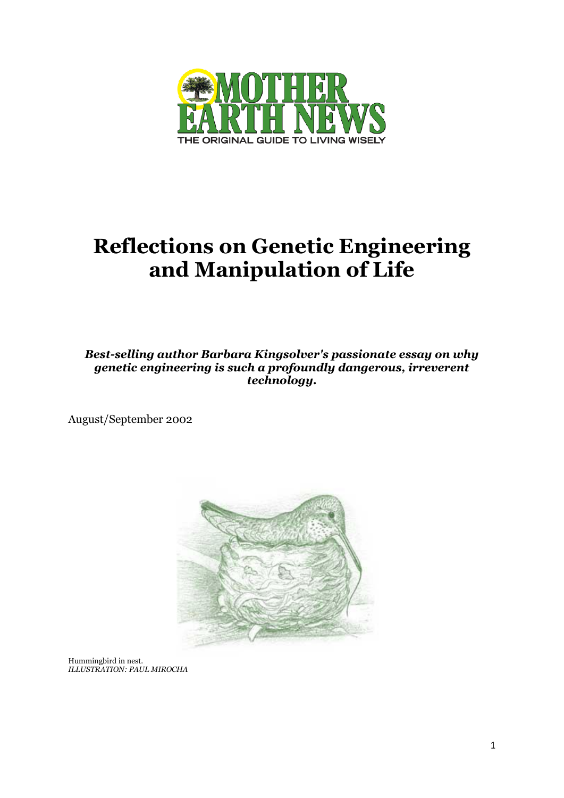

## **Reflections on Genetic Engineering and Manipulation of Life**

*Best-selling author Barbara Kingsolver's passionate essay on why genetic engineering is such a profoundly dangerous, irreverent technology.*

August/September 2002



Hummingbird in nest. *ILLUSTRATION: PAUL MIROCHA*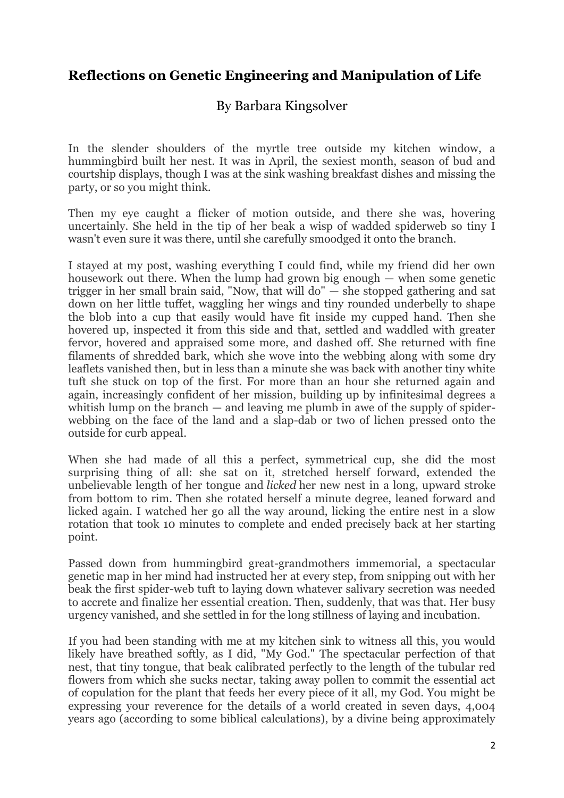## **Reflections on Genetic Engineering and Manipulation of Life**

## By Barbara Kingsolver

In the slender shoulders of the myrtle tree outside my kitchen window, a hummingbird built her nest. It was in April, the sexiest month, season of bud and courtship displays, though I was at the sink washing breakfast dishes and missing the party, or so you might think.

Then my eye caught a flicker of motion outside, and there she was, hovering uncertainly. She held in the tip of her beak a wisp of wadded spiderweb so tiny I wasn't even sure it was there, until she carefully smoodged it onto the branch.

I stayed at my post, washing everything I could find, while my friend did her own housework out there. When the lump had grown big enough — when some genetic trigger in her small brain said, "Now, that will do" — she stopped gathering and sat down on her little tuffet, waggling her wings and tiny rounded underbelly to shape the blob into a cup that easily would have fit inside my cupped hand. Then she hovered up, inspected it from this side and that, settled and waddled with greater fervor, hovered and appraised some more, and dashed off. She returned with fine filaments of shredded bark, which she wove into the webbing along with some dry leaflets vanished then, but in less than a minute she was back with another tiny white tuft she stuck on top of the first. For more than an hour she returned again and again, increasingly confident of her mission, building up by infinitesimal degrees a whitish lump on the branch — and leaving me plumb in awe of the supply of spiderwebbing on the face of the land and a slap-dab or two of lichen pressed onto the outside for curb appeal.

When she had made of all this a perfect, symmetrical cup, she did the most surprising thing of all: she sat on it, stretched herself forward, extended the unbelievable length of her tongue and *licked* her new nest in a long, upward stroke from bottom to rim. Then she rotated herself a minute degree, leaned forward and licked again. I watched her go all the way around, licking the entire nest in a slow rotation that took 10 minutes to complete and ended precisely back at her starting point.

Passed down from hummingbird great-grandmothers immemorial, a spectacular genetic map in her mind had instructed her at every step, from snipping out with her beak the first spider-web tuft to laying down whatever salivary secretion was needed to accrete and finalize her essential creation. Then, suddenly, that was that. Her busy urgency vanished, and she settled in for the long stillness of laying and incubation.

If you had been standing with me at my kitchen sink to witness all this, you would likely have breathed softly, as I did, "My God." The spectacular perfection of that nest, that tiny tongue, that beak calibrated perfectly to the length of the tubular red flowers from which she sucks nectar, taking away pollen to commit the essential act of copulation for the plant that feeds her every piece of it all, my God. You might be expressing your reverence for the details of a world created in seven days, 4,004 years ago (according to some biblical calculations), by a divine being approximately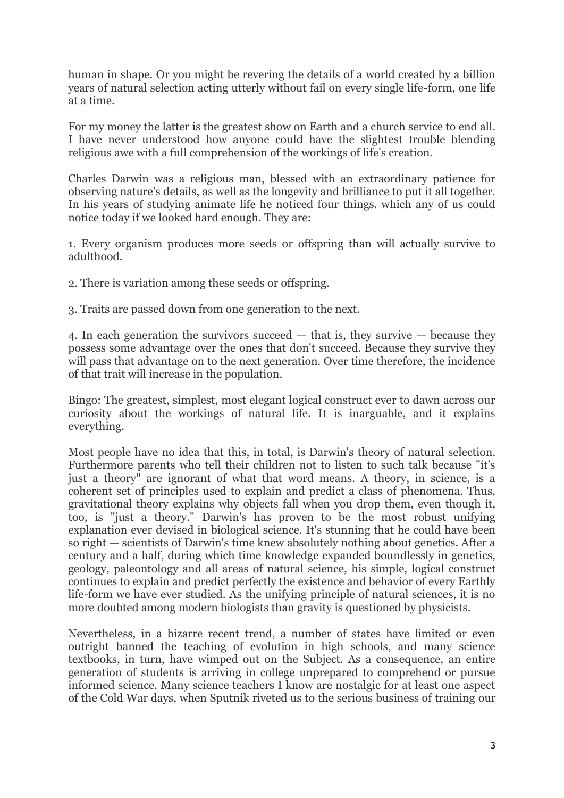human in shape. Or you might be revering the details of a world created by a billion years of natural selection acting utterly without fail on every single life-form, one life at a time.

For my money the latter is the greatest show on Earth and a church service to end all. I have never understood how anyone could have the slightest trouble blending religious awe with a full comprehension of the workings of life's creation.

Charles Darwin was a religious man, blessed with an extraordinary patience for observing nature's details, as well as the longevity and brilliance to put it all together. In his years of studying animate life he noticed four things. which any of us could notice today if we looked hard enough. They are:

1. Every organism produces more seeds or offspring than will actually survive to adulthood.

2. There is variation among these seeds or offspring.

3. Traits are passed down from one generation to the next.

4. In each generation the survivors succeed — that is, they survive — because they possess some advantage over the ones that don't succeed. Because they survive they will pass that advantage on to the next generation. Over time therefore, the incidence of that trait will increase in the population.

Bingo: The greatest, simplest, most elegant logical construct ever to dawn across our curiosity about the workings of natural life. It is inarguable, and it explains everything.

Most people have no idea that this, in total, is Darwin's theory of natural selection. Furthermore parents who tell their children not to listen to such talk because "it's just a theory" are ignorant of what that word means. A theory, in science, is a coherent set of principles used to explain and predict a class of phenomena. Thus, gravitational theory explains why objects fall when you drop them, even though it, too, is "just a theory." Darwin's has proven to be the most robust unifying explanation ever devised in biological science. It's stunning that he could have been so right — scientists of Darwin's time knew absolutely nothing about genetics. After a century and a half, during which time knowledge expanded boundlessly in genetics, geology, paleontology and all areas of natural science, his simple, logical construct continues to explain and predict perfectly the existence and behavior of every Earthly life-form we have ever studied. As the unifying principle of natural sciences, it is no more doubted among modern biologists than gravity is questioned by physicists.

Nevertheless, in a bizarre recent trend, a number of states have limited or even outright banned the teaching of evolution in high schools, and many science textbooks, in turn, have wimped out on the Subject. As a consequence, an entire generation of students is arriving in college unprepared to comprehend or pursue informed science. Many science teachers I know are nostalgic for at least one aspect of the Cold War days, when Sputnik riveted us to the serious business of training our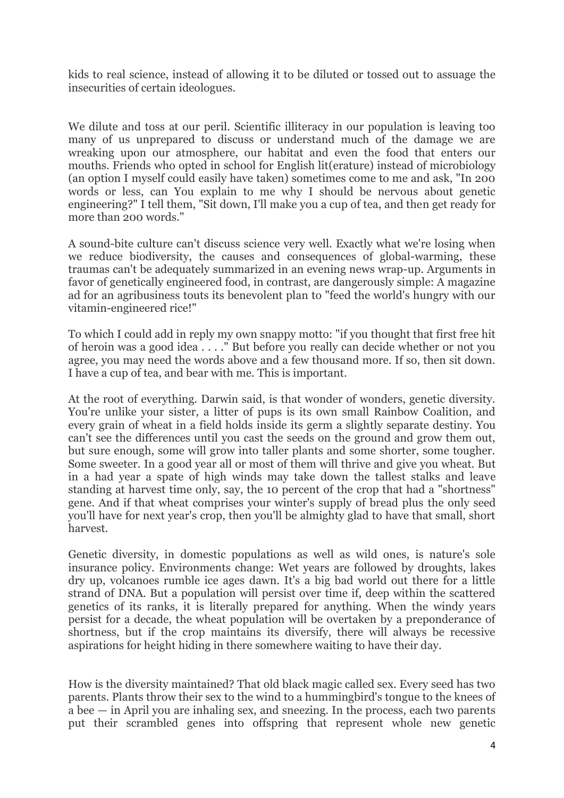kids to real science, instead of allowing it to be diluted or tossed out to assuage the insecurities of certain ideologues.

We dilute and toss at our peril. Scientific illiteracy in our population is leaving too many of us unprepared to discuss or understand much of the damage we are wreaking upon our atmosphere, our habitat and even the food that enters our mouths. Friends who opted in school for English lit(erature) instead of microbiology (an option I myself could easily have taken) sometimes come to me and ask, "In 200 words or less, can You explain to me why I should be nervous about genetic engineering?" I tell them, "Sit down, I'll make you a cup of tea, and then get ready for more than 200 words."

A sound-bite culture can't discuss science very well. Exactly what we're losing when we reduce biodiversity, the causes and consequences of global-warming, these traumas can't be adequately summarized in an evening news wrap-up. Arguments in favor of genetically engineered food, in contrast, are dangerously simple: A magazine ad for an agribusiness touts its benevolent plan to "feed the world's hungry with our vitamin-engineered rice!"

To which I could add in reply my own snappy motto: "if you thought that first free hit of heroin was a good idea . . . ." But before you really can decide whether or not you agree, you may need the words above and a few thousand more. If so, then sit down. I have a cup of tea, and bear with me. This is important.

At the root of everything. Darwin said, is that wonder of wonders, genetic diversity. You're unlike your sister, a litter of pups is its own small Rainbow Coalition, and every grain of wheat in a field holds inside its germ a slightly separate destiny. You can't see the differences until you cast the seeds on the ground and grow them out, but sure enough, some will grow into taller plants and some shorter, some tougher. Some sweeter. In a good year all or most of them will thrive and give you wheat. But in a had year a spate of high winds may take down the tallest stalks and leave standing at harvest time only, say, the 10 percent of the crop that had a "shortness" gene. And if that wheat comprises your winter's supply of bread plus the only seed you'll have for next year's crop, then you'll be almighty glad to have that small, short harvest.

Genetic diversity, in domestic populations as well as wild ones, is nature's sole insurance policy. Environments change: Wet years are followed by droughts, lakes dry up, volcanoes rumble ice ages dawn. It's a big bad world out there for a little strand of DNA. But a population will persist over time if, deep within the scattered genetics of its ranks, it is literally prepared for anything. When the windy years persist for a decade, the wheat population will be overtaken by a preponderance of shortness, but if the crop maintains its diversify, there will always be recessive aspirations for height hiding in there somewhere waiting to have their day.

How is the diversity maintained? That old black magic called sex. Every seed has two parents. Plants throw their sex to the wind to a hummingbird's tongue to the knees of a bee — in April you are inhaling sex, and sneezing. In the process, each two parents put their scrambled genes into offspring that represent whole new genetic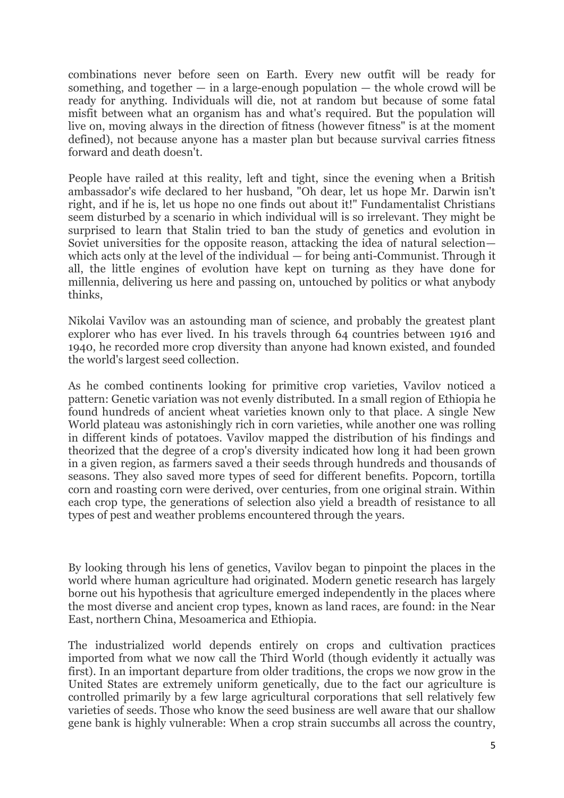combinations never before seen on Earth. Every new outfit will be ready for something, and together  $-$  in a large-enough population  $-$  the whole crowd will be ready for anything. Individuals will die, not at random but because of some fatal misfit between what an organism has and what's required. But the population will live on, moving always in the direction of fitness (however fitness" is at the moment defined), not because anyone has a master plan but because survival carries fitness forward and death doesn't.

People have railed at this reality, left and tight, since the evening when a British ambassador's wife declared to her husband, "Oh dear, let us hope Mr. Darwin isn't right, and if he is, let us hope no one finds out about it!" Fundamentalist Christians seem disturbed by a scenario in which individual will is so irrelevant. They might be surprised to learn that Stalin tried to ban the study of genetics and evolution in Soviet universities for the opposite reason, attacking the idea of natural selection which acts only at the level of the individual — for being anti-Communist. Through it all, the little engines of evolution have kept on turning as they have done for millennia, delivering us here and passing on, untouched by politics or what anybody thinks,

Nikolai Vavilov was an astounding man of science, and probably the greatest plant explorer who has ever lived. In his travels through 64 countries between 1916 and 1940, he recorded more crop diversity than anyone had known existed, and founded the world's largest seed collection.

As he combed continents looking for primitive crop varieties, Vavilov noticed a pattern: Genetic variation was not evenly distributed. In a small region of Ethiopia he found hundreds of ancient wheat varieties known only to that place. A single New World plateau was astonishingly rich in corn varieties, while another one was rolling in different kinds of potatoes. Vavilov mapped the distribution of his findings and theorized that the degree of a crop's diversity indicated how long it had been grown in a given region, as farmers saved a their seeds through hundreds and thousands of seasons. They also saved more types of seed for different benefits. Popcorn, tortilla corn and roasting corn were derived, over centuries, from one original strain. Within each crop type, the generations of selection also yield a breadth of resistance to all types of pest and weather problems encountered through the years.

By looking through his lens of genetics, Vavilov began to pinpoint the places in the world where human agriculture had originated. Modern genetic research has largely borne out his hypothesis that agriculture emerged independently in the places where the most diverse and ancient crop types, known as land races, are found: in the Near East, northern China, Mesoamerica and Ethiopia.

The industrialized world depends entirely on crops and cultivation practices imported from what we now call the Third World (though evidently it actually was first). In an important departure from older traditions, the crops we now grow in the United States are extremely uniform genetically, due to the fact our agriculture is controlled primarily by a few large agricultural corporations that sell relatively few varieties of seeds. Those who know the seed business are well aware that our shallow gene bank is highly vulnerable: When a crop strain succumbs all across the country,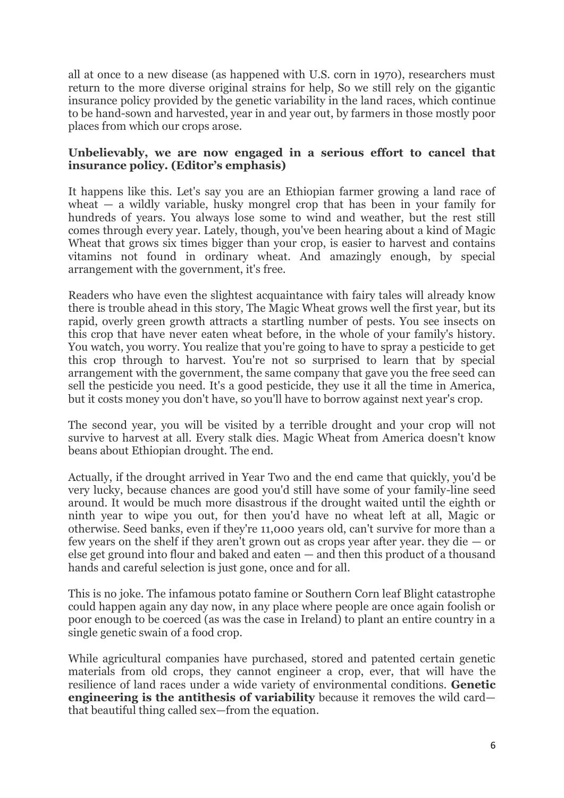all at once to a new disease (as happened with U.S. corn in 1970), researchers must return to the more diverse original strains for help, So we still rely on the gigantic insurance policy provided by the genetic variability in the land races, which continue to be hand-sown and harvested, year in and year out, by farmers in those mostly poor places from which our crops arose.

## **Unbelievably, we are now engaged in a serious effort to cancel that insurance policy. (Editor's emphasis)**

It happens like this. Let's say you are an Ethiopian farmer growing a land race of wheat  $-$  a wildly variable, husky mongrel crop that has been in your family for hundreds of years. You always lose some to wind and weather, but the rest still comes through every year. Lately, though, you've been hearing about a kind of Magic Wheat that grows six times bigger than your crop, is easier to harvest and contains vitamins not found in ordinary wheat. And amazingly enough, by special arrangement with the government, it's free.

Readers who have even the slightest acquaintance with fairy tales will already know there is trouble ahead in this story, The Magic Wheat grows well the first year, but its rapid, overly green growth attracts a startling number of pests. You see insects on this crop that have never eaten wheat before, in the whole of your family's history. You watch, you worry. You realize that you're going to have to spray a pesticide to get this crop through to harvest. You're not so surprised to learn that by special arrangement with the government, the same company that gave you the free seed can sell the pesticide you need. It's a good pesticide, they use it all the time in America, but it costs money you don't have, so you'll have to borrow against next year's crop.

The second year, you will be visited by a terrible drought and your crop will not survive to harvest at all. Every stalk dies. Magic Wheat from America doesn't know beans about Ethiopian drought. The end.

Actually, if the drought arrived in Year Two and the end came that quickly, you'd be very lucky, because chances are good you'd still have some of your family-line seed around. It would be much more disastrous if the drought waited until the eighth or ninth year to wipe you out, for then you'd have no wheat left at all, Magic or otherwise. Seed banks, even if they're 11,000 years old, can't survive for more than a few years on the shelf if they aren't grown out as crops year after year. they die — or else get ground into flour and baked and eaten — and then this product of a thousand hands and careful selection is just gone, once and for all.

This is no joke. The infamous potato famine or Southern Corn leaf Blight catastrophe could happen again any day now, in any place where people are once again foolish or poor enough to be coerced (as was the case in Ireland) to plant an entire country in a single genetic swain of a food crop.

While agricultural companies have purchased, stored and patented certain genetic materials from old crops, they cannot engineer a crop, ever, that will have the resilience of land races under a wide variety of environmental conditions. **Genetic engineering is the antithesis of variability** because it removes the wild card that beautiful thing called sex—from the equation.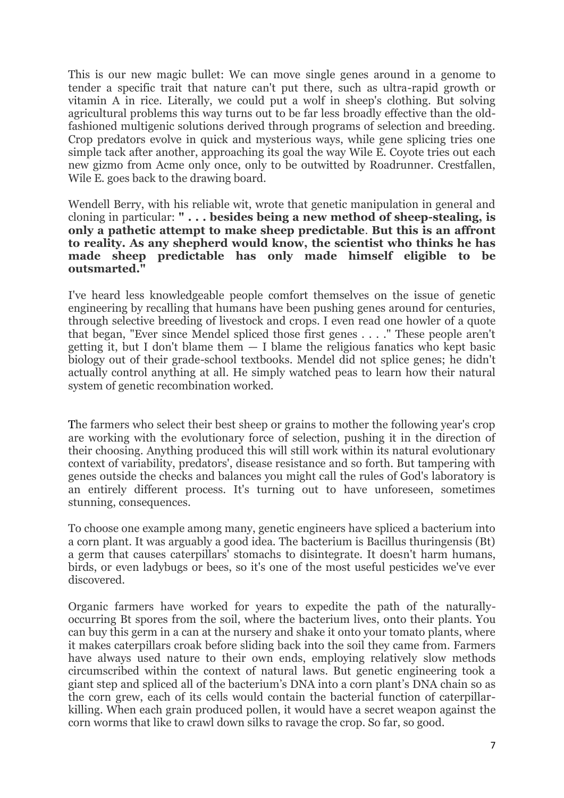This is our new magic bullet: We can move single genes around in a genome to tender a specific trait that nature can't put there, such as ultra-rapid growth or vitamin A in rice. Literally, we could put a wolf in sheep's clothing. But solving agricultural problems this way turns out to be far less broadly effective than the oldfashioned multigenic solutions derived through programs of selection and breeding. Crop predators evolve in quick and mysterious ways, while gene splicing tries one simple tack after another, approaching its goal the way Wile E. Coyote tries out each new gizmo from Acme only once, only to be outwitted by Roadrunner. Crestfallen, Wile E. goes back to the drawing board.

Wendell Berry, with his reliable wit, wrote that genetic manipulation in general and cloning in particular: **" . . . besides being a new method of sheep-stealing, is only a pathetic attempt to make sheep predictable**. **But this is an affront to reality. As any shepherd would know, the scientist who thinks he has made sheep predictable has only made himself eligible to be outsmarted."**

I've heard less knowledgeable people comfort themselves on the issue of genetic engineering by recalling that humans have been pushing genes around for centuries, through selective breeding of livestock and crops. I even read one howler of a quote that began, "Ever since Mendel spliced those first genes . . . ." These people aren't getting it, but I don't blame them  $-$  I blame the religious fanatics who kept basic biology out of their grade-school textbooks. Mendel did not splice genes; he didn't actually control anything at all. He simply watched peas to learn how their natural system of genetic recombination worked.

The farmers who select their best sheep or grains to mother the following year's crop are working with the evolutionary force of selection, pushing it in the direction of their choosing. Anything produced this will still work within its natural evolutionary context of variability, predators', disease resistance and so forth. But tampering with genes outside the checks and balances you might call the rules of God's laboratory is an entirely different process. It's turning out to have unforeseen, sometimes stunning, consequences.

To choose one example among many, genetic engineers have spliced a bacterium into a corn plant. It was arguably a good idea. The bacterium is Bacillus thuringensis (Bt) a germ that causes caterpillars' stomachs to disintegrate. It doesn't harm humans, birds, or even ladybugs or bees, so it's one of the most useful pesticides we've ever discovered.

Organic farmers have worked for years to expedite the path of the naturallyoccurring Bt spores from the soil, where the bacterium lives, onto their plants. You can buy this germ in a can at the nursery and shake it onto your tomato plants, where it makes caterpillars croak before sliding back into the soil they came from. Farmers have always used nature to their own ends, employing relatively slow methods circumscribed within the context of natural laws. But genetic engineering took a giant step and spliced all of the bacterium's DNA into a corn plant's DNA chain so as the corn grew, each of its cells would contain the bacterial function of caterpillarkilling. When each grain produced pollen, it would have a secret weapon against the corn worms that like to crawl down silks to ravage the crop. So far, so good.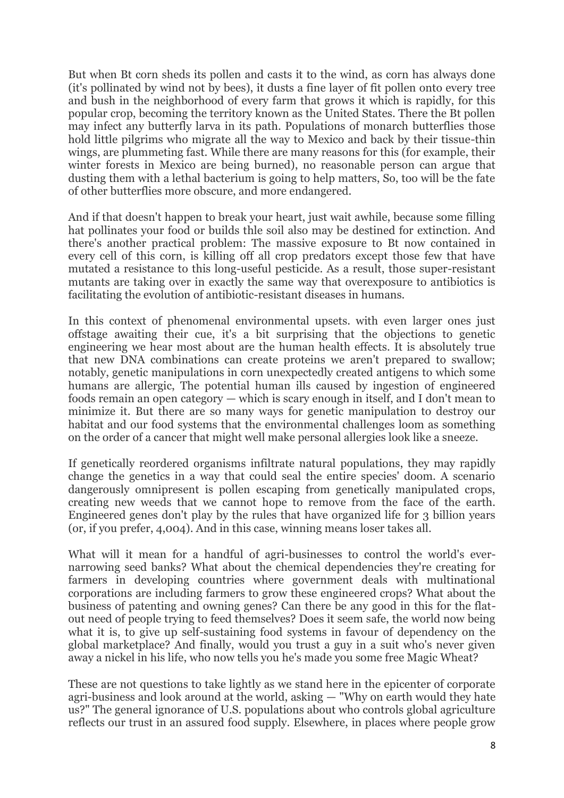But when Bt corn sheds its pollen and casts it to the wind, as corn has always done (it's pollinated by wind not by bees), it dusts a fine layer of fit pollen onto every tree and bush in the neighborhood of every farm that grows it which is rapidly, for this popular crop, becoming the territory known as the United States. There the Bt pollen may infect any butterfly larva in its path. Populations of monarch butterflies those hold little pilgrims who migrate all the way to Mexico and back by their tissue-thin wings, are plummeting fast. While there are many reasons for this (for example, their winter forests in Mexico are being burned), no reasonable person can argue that dusting them with a lethal bacterium is going to help matters, So, too will be the fate of other butterflies more obscure, and more endangered.

And if that doesn't happen to break your heart, just wait awhile, because some filling hat pollinates your food or builds thle soil also may be destined for extinction. And there's another practical problem: The massive exposure to Bt now contained in every cell of this corn, is killing off all crop predators except those few that have mutated a resistance to this long-useful pesticide. As a result, those super-resistant mutants are taking over in exactly the same way that overexposure to antibiotics is facilitating the evolution of antibiotic-resistant diseases in humans.

In this context of phenomenal environmental upsets. with even larger ones just offstage awaiting their cue, it's a bit surprising that the objections to genetic engineering we hear most about are the human health effects. It is absolutely true that new DNA combinations can create proteins we aren't prepared to swallow; notably, genetic manipulations in corn unexpectedly created antigens to which some humans are allergic, The potential human ills caused by ingestion of engineered foods remain an open category — which is scary enough in itself, and I don't mean to minimize it. But there are so many ways for genetic manipulation to destroy our habitat and our food systems that the environmental challenges loom as something on the order of a cancer that might well make personal allergies look like a sneeze.

If genetically reordered organisms infiltrate natural populations, they may rapidly change the genetics in a way that could seal the entire species' doom. A scenario dangerously omnipresent is pollen escaping from genetically manipulated crops, creating new weeds that we cannot hope to remove from the face of the earth. Engineered genes don't play by the rules that have organized life for 3 billion years (or, if you prefer, 4,004). And in this case, winning means loser takes all.

What will it mean for a handful of agri-businesses to control the world's evernarrowing seed banks? What about the chemical dependencies they're creating for farmers in developing countries where government deals with multinational corporations are including farmers to grow these engineered crops? What about the business of patenting and owning genes? Can there be any good in this for the flatout need of people trying to feed themselves? Does it seem safe, the world now being what it is, to give up self-sustaining food systems in favour of dependency on the global marketplace? And finally, would you trust a guy in a suit who's never given away a nickel in his life, who now tells you he's made you some free Magic Wheat?

These are not questions to take lightly as we stand here in the epicenter of corporate agri-business and look around at the world, asking — "Why on earth would they hate us?" The general ignorance of U.S. populations about who controls global agriculture reflects our trust in an assured food supply. Elsewhere, in places where people grow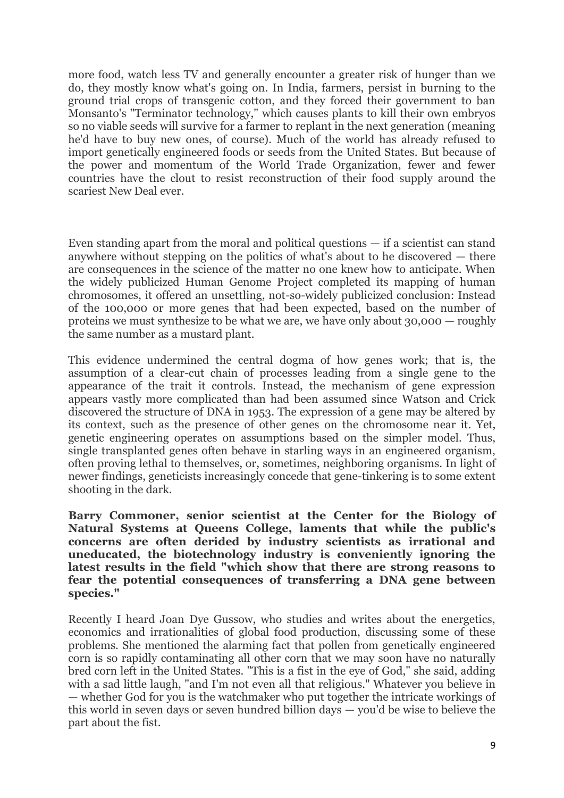more food, watch less TV and generally encounter a greater risk of hunger than we do, they mostly know what's going on. In India, farmers, persist in burning to the ground trial crops of transgenic cotton, and they forced their government to ban Monsanto's "Terminator technology," which causes plants to kill their own embryos so no viable seeds will survive for a farmer to replant in the next generation (meaning he'd have to buy new ones, of course). Much of the world has already refused to import genetically engineered foods or seeds from the United States. But because of the power and momentum of the World Trade Organization, fewer and fewer countries have the clout to resist reconstruction of their food supply around the scariest New Deal ever.

Even standing apart from the moral and political questions  $-$  if a scientist can stand anywhere without stepping on the politics of what's about to he discovered — there are consequences in the science of the matter no one knew how to anticipate. When the widely publicized Human Genome Project completed its mapping of human chromosomes, it offered an unsettling, not-so-widely publicized conclusion: Instead of the 100,000 or more genes that had been expected, based on the number of proteins we must synthesize to be what we are, we have only about 30,000 — roughly the same number as a mustard plant.

This evidence undermined the central dogma of how genes work; that is, the assumption of a clear-cut chain of processes leading from a single gene to the appearance of the trait it controls. Instead, the mechanism of gene expression appears vastly more complicated than had been assumed since Watson and Crick discovered the structure of DNA in 1953. The expression of a gene may be altered by its context, such as the presence of other genes on the chromosome near it. Yet, genetic engineering operates on assumptions based on the simpler model. Thus, single transplanted genes often behave in starling ways in an engineered organism, often proving lethal to themselves, or, sometimes, neighboring organisms. In light of newer findings, geneticists increasingly concede that gene-tinkering is to some extent shooting in the dark.

**Barry Commoner, senior scientist at the Center for the Biology of Natural Systems at Queens College, laments that while the public's concerns are often derided by industry scientists as irrational and uneducated, the biotechnology industry is conveniently ignoring the latest results in the field "which show that there are strong reasons to fear the potential consequences of transferring a DNA gene between species."**

Recently I heard Joan Dye Gussow, who studies and writes about the energetics, economics and irrationalities of global food production, discussing some of these problems. She mentioned the alarming fact that pollen from genetically engineered corn is so rapidly contaminating all other corn that we may soon have no naturally bred corn left in the United States. "This is a fist in the eye of God," she said, adding with a sad little laugh, "and I'm not even all that religious." Whatever you believe in — whether God for you is the watchmaker who put together the intricate workings of this world in seven days or seven hundred billion days — you'd be wise to believe the part about the fist.